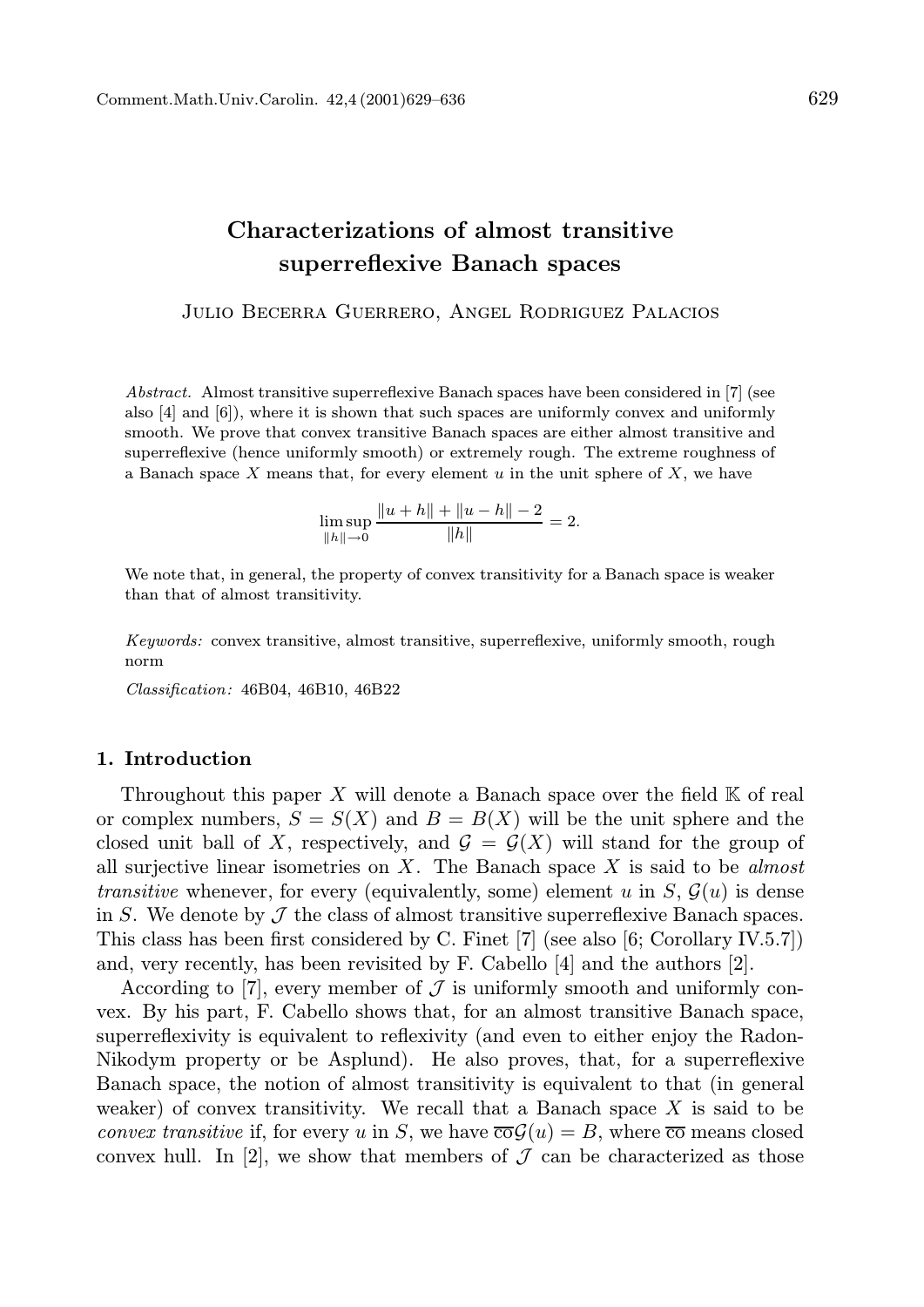## Characterizations of almost transitive superreflexive Banach spaces

Julio Becerra Guerrero, Angel Rodriguez Palacios

Abstract. Almost transitive superreflexive Banach spaces have been considered in [7] (see also [4] and [6]), where it is shown that such spaces are uniformly convex and uniformly smooth. We prove that convex transitive Banach spaces are either almost transitive and superreflexive (hence uniformly smooth) or extremely rough. The extreme roughness of a Banach space X means that, for every element u in the unit sphere of X, we have

$$
\limsup_{\|h\| \to 0} \frac{\|u+h\| + \|u-h\| - 2}{\|h\|} = 2.
$$

We note that, in general, the property of convex transitivity for a Banach space is weaker than that of almost transitivity.

Keywords: convex transitive, almost transitive, superreflexive, uniformly smooth, rough norm

Classification: 46B04, 46B10, 46B22

## 1. Introduction

Throughout this paper X will denote a Banach space over the field  $K$  of real or complex numbers,  $S = S(X)$  and  $B = B(X)$  will be the unit sphere and the closed unit ball of X, respectively, and  $\mathcal{G} = \mathcal{G}(X)$  will stand for the group of all surjective linear isometries on  $X$ . The Banach space  $X$  is said to be *almost* transitive whenever, for every (equivalently, some) element u in  $S, \mathcal{G}(u)$  is dense in S. We denote by  $\mathcal J$  the class of almost transitive superreflexive Banach spaces. This class has been first considered by C. Finet [7] (see also [6; Corollary IV.5.7]) and, very recently, has been revisited by F. Cabello [4] and the authors [2].

According to [7], every member of  $\mathcal J$  is uniformly smooth and uniformly convex. By his part, F. Cabello shows that, for an almost transitive Banach space, superreflexivity is equivalent to reflexivity (and even to either enjoy the Radon-Nikodym property or be Asplund). He also proves, that, for a superreflexive Banach space, the notion of almost transitivity is equivalent to that (in general weaker) of convex transitivity. We recall that a Banach space  $X$  is said to be convex transitive if, for every u in S, we have  $\overline{co} \mathcal{G}(u) = B$ , where  $\overline{co}$  means closed convex hull. In [2], we show that members of  $\mathcal J$  can be characterized as those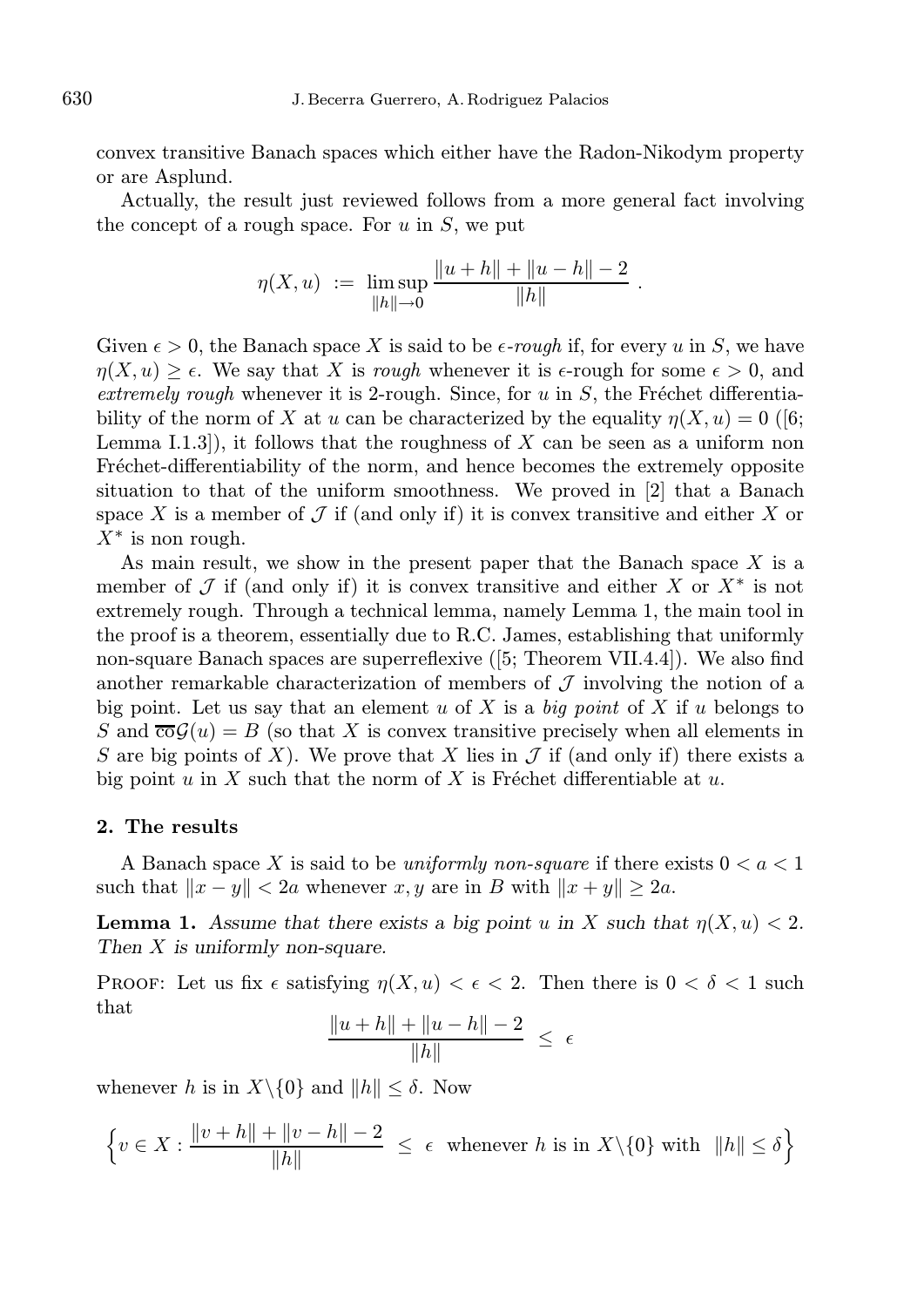convex transitive Banach spaces which either have the Radon-Nikodym property or are Asplund.

Actually, the result just reviewed follows from a more general fact involving the concept of a rough space. For  $u$  in  $S$ , we put

$$
\eta(X, u) := \limsup_{\|h\| \to 0} \frac{\|u + h\| + \|u - h\| - 2}{\|h\|}.
$$

Given  $\epsilon > 0$ , the Banach space X is said to be  $\epsilon$ -rough if, for every u in S, we have  $\eta(X, u) > \epsilon$ . We say that X is rough whenever it is  $\epsilon$ -rough for some  $\epsilon > 0$ , and extremely rough whenever it is 2-rough. Since, for u in  $S$ , the Fréchet differentiability of the norm of X at u can be characterized by the equality  $\eta(X, u) = 0$  ([6; Lemma I.1.3]), it follows that the roughness of  $X$  can be seen as a uniform non Fréchet-differentiability of the norm, and hence becomes the extremely opposite situation to that of the uniform smoothness. We proved in [2] that a Banach space X is a member of  $\mathcal J$  if (and only if) it is convex transitive and either X or  $X^*$  is non rough.

As main result, we show in the present paper that the Banach space X is a member of  $\mathcal J$  if (and only if) it is convex transitive and either X or  $X^*$  is not extremely rough. Through a technical lemma, namely Lemma 1, the main tool in the proof is a theorem, essentially due to R.C. James, establishing that uniformly non-square Banach spaces are superreflexive ([5; Theorem VII.4.4]). We also find another remarkable characterization of members of  $\mathcal J$  involving the notion of a big point. Let us say that an element u of X is a big point of X if u belongs to S and  $\overline{\text{co}}\mathcal{G}(u) = B$  (so that X is convex transitive precisely when all elements in S are big points of X). We prove that X lies in  $\mathcal J$  if (and only if) there exists a big point u in X such that the norm of X is Fréchet differentiable at u.

## 2. The results

A Banach space X is said to be uniformly non-square if there exists  $0 < a < 1$ such that  $||x - y|| < 2a$  whenever x, y are in B with  $||x + y|| \ge 2a$ .

**Lemma 1.** Assume that there exists a big point u in X such that  $\eta(X, u) < 2$ . Then X is uniformly non-square.

PROOF: Let us fix  $\epsilon$  satisfying  $\eta(X, u) < \epsilon < 2$ . Then there is  $0 < \delta < 1$  such that

$$
\frac{\|u+h\| + \|u-h\| - 2}{\|h\|} \ \leq \ \epsilon
$$

whenever h is in  $X \setminus \{0\}$  and  $||h|| \leq \delta$ . Now

$$
\left\{ v \in X : \frac{\|v+h\|+\|v-h\|-2}{\|h\|} \le \epsilon \text{ whenever } h \text{ is in } X \setminus \{0\} \text{ with } \|h\| \le \delta \right\}
$$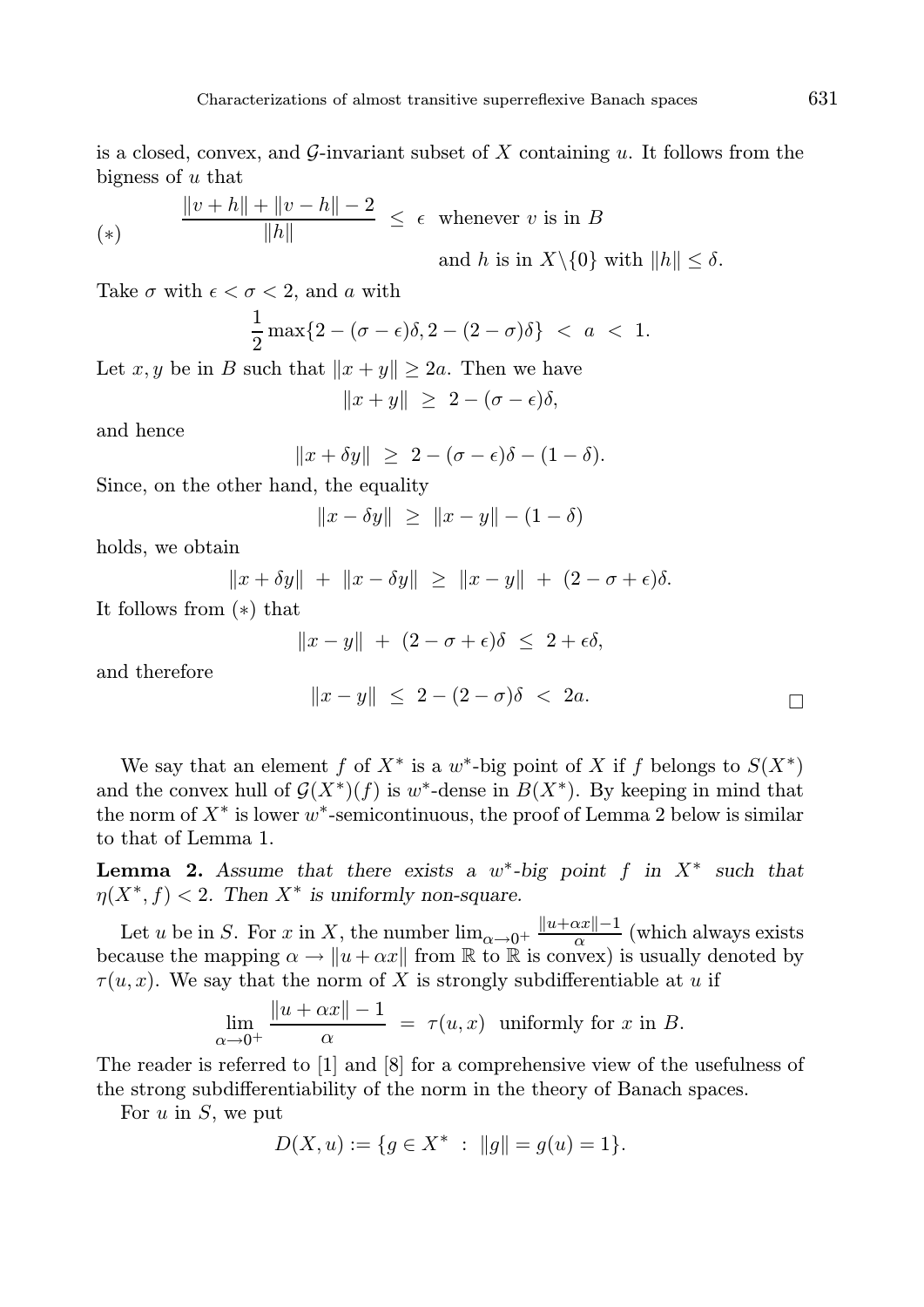is a closed, convex, and G-invariant subset of X containing u. It follows from the bigness of u that

$$
\frac{\|v+h\|+\|v-h\|-2}{\|h\|} \le \epsilon \quad \text{whenever } v \text{ is in } B
$$
\n
$$
\text{and } h \text{ is in } X \setminus \{0\} \text{ with } \|h\| \le \delta.
$$

Take  $\sigma$  with  $\epsilon < \sigma < 2$ , and a with

$$
\frac{1}{2}\max\{2-(\sigma-\epsilon)\delta,2-(2-\sigma)\delta\} < a < 1.
$$

Let  $x, y$  be in B such that  $||x + y|| \ge 2a$ . Then we have

$$
||x + y|| \ge 2 - (\sigma - \epsilon)\delta,
$$

and hence

$$
||x + \delta y|| \geq 2 - (\sigma - \epsilon)\delta - (1 - \delta).
$$

Since, on the other hand, the equality

$$
||x - \delta y|| \ge ||x - y|| - (1 - \delta)
$$

holds, we obtain

$$
||x + \delta y|| + ||x - \delta y|| \ge ||x - y|| + (2 - \sigma + \epsilon)\delta.
$$

It follows from (∗) that

$$
||x - y|| + (2 - \sigma + \epsilon)\delta \leq 2 + \epsilon \delta,
$$

and therefore

$$
||x-y|| \leq 2 - (2 - \sigma)\delta < 2a.
$$

We say that an element f of  $X^*$  is a w<sup>\*</sup>-big point of X if f belongs to  $S(X^*)$ and the convex hull of  $\mathcal{G}(X^*)(f)$  is w<sup>\*</sup>-dense in  $B(X^*)$ . By keeping in mind that the norm of  $X^*$  is lower  $w^*$ -semicontinuous, the proof of Lemma 2 below is similar to that of Lemma 1.

**Lemma 2.** Assume that there exists a  $w^*$ -big point f in  $X^*$  such that  $\eta(X^*, f) < 2$ . Then  $X^*$  is uniformly non-square.

Let u be in S. For x in X, the number  $\lim_{\alpha \to 0^+} \frac{\|u + \alpha x\| - 1}{\alpha}$  $\frac{2x}{\alpha}$  (which always exists because the mapping  $\alpha \to \|u + \alpha x\|$  from R to R is convex) is usually denoted by  $\tau(u, x)$ . We say that the norm of X is strongly subdifferentiable at u if

$$
\lim_{\alpha \to 0^+} \frac{\|u + \alpha x\| - 1}{\alpha} = \tau(u, x) \text{ uniformly for } x \text{ in } B.
$$

The reader is referred to [1] and [8] for a comprehensive view of the usefulness of the strong subdifferentiability of the norm in the theory of Banach spaces.

For  $u$  in  $S$ , we put

$$
D(X, u) := \{ g \in X^* \ : \ \|g\| = g(u) = 1 \}.
$$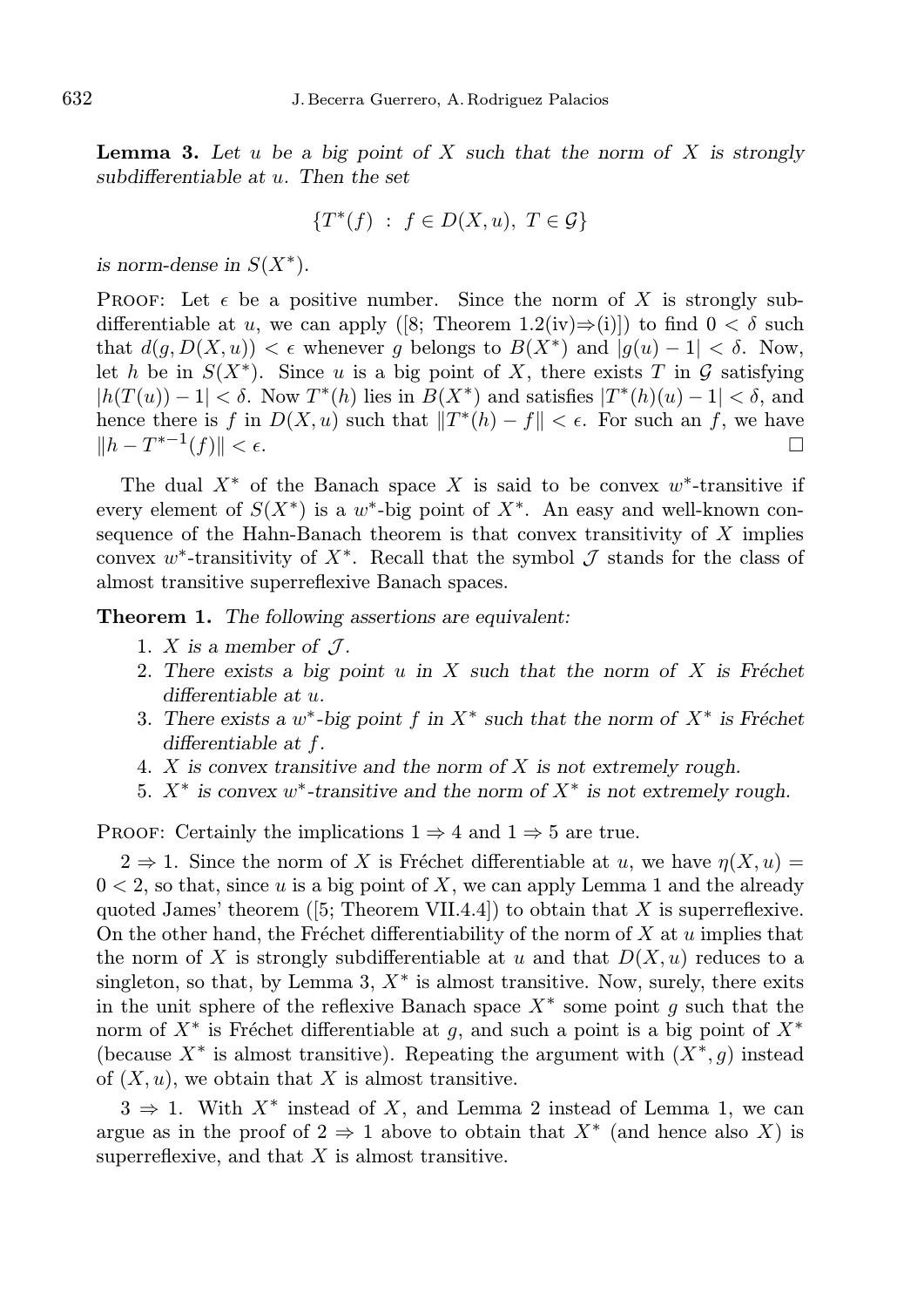**Lemma 3.** Let u be a big point of X such that the norm of X is strongly subdifferentiable at  $u$ . Then the set

$$
\{T^*(f) : f \in D(X, u), T \in \mathcal{G}\}
$$

is norm-dense in  $S(X^*)$ .

**PROOF:** Let  $\epsilon$  be a positive number. Since the norm of X is strongly subdifferentiable at u, we can apply ([8; Theorem 1.2(iv)⇒(i)]) to find  $0 < \delta$  such that  $d(g, D(X, u)) < \epsilon$  whenever g belongs to  $B(X^*)$  and  $|g(u) - 1| < \delta$ . Now, let h be in  $S(X^*)$ . Since u is a big point of X, there exists T in G satisfying  $|h(T(u)) - 1| < \delta$ . Now  $T^*(h)$  lies in  $B(X^*)$  and satisfies  $|T^*(h)(u) - 1| < \delta$ , and hence there is f in  $D(X, u)$  such that  $||T^*(h) - f|| < \epsilon$ . For such an f, we have  $||h - T^{*-1}(f)|| < \epsilon.$ 

The dual  $X^*$  of the Banach space X is said to be convex  $w^*$ -transitive if every element of  $S(X^*)$  is a w<sup>\*</sup>-big point of  $X^*$ . An easy and well-known consequence of the Hahn-Banach theorem is that convex transitivity of  $X$  implies convex w<sup>\*</sup>-transitivity of  $X^*$ . Recall that the symbol  $\mathcal J$  stands for the class of almost transitive superreflexive Banach spaces.

**Theorem 1.** The following assertions are equivalent:

- 1. X is a member of  $\mathcal{J}$ .
- 2. There exists a big point u in X such that the norm of X is Fréchet differentiable at u.
- 3. There exists a  $w^*$ -big point f in  $X^*$  such that the norm of  $X^*$  is Fréchet differentiable at f.
- 4.  $X$  is convex transitive and the norm of  $X$  is not extremely rough.
- 5.  $X^*$  is convex w<sup>\*</sup>-transitive and the norm of  $X^*$  is not extremely rough.

PROOF: Certainly the implications  $1 \Rightarrow 4$  and  $1 \Rightarrow 5$  are true.

 $2 \Rightarrow 1$ . Since the norm of X is Fréchet differentiable at u, we have  $\eta(X, u) =$  $0 < 2$ , so that, since u is a big point of X, we can apply Lemma 1 and the already quoted James' theorem ([5; Theorem VII.4.4]) to obtain that X is superreflexive. On the other hand, the Fréchet differentiability of the norm of  $X$  at  $u$  implies that the norm of X is strongly subdifferentiable at u and that  $D(X, u)$  reduces to a singleton, so that, by Lemma 3,  $X^*$  is almost transitive. Now, surely, there exits in the unit sphere of the reflexive Banach space  $X^*$  some point g such that the norm of  $X^*$  is Fréchet differentiable at g, and such a point is a big point of  $X^*$ (because  $X^*$  is almost transitive). Repeating the argument with  $(X^*, g)$  instead of  $(X, u)$ , we obtain that X is almost transitive.

 $3 \Rightarrow 1$ . With  $X^*$  instead of X, and Lemma 2 instead of Lemma 1, we can argue as in the proof of  $2 \Rightarrow 1$  above to obtain that  $X^*$  (and hence also X) is superreflexive, and that  $X$  is almost transitive.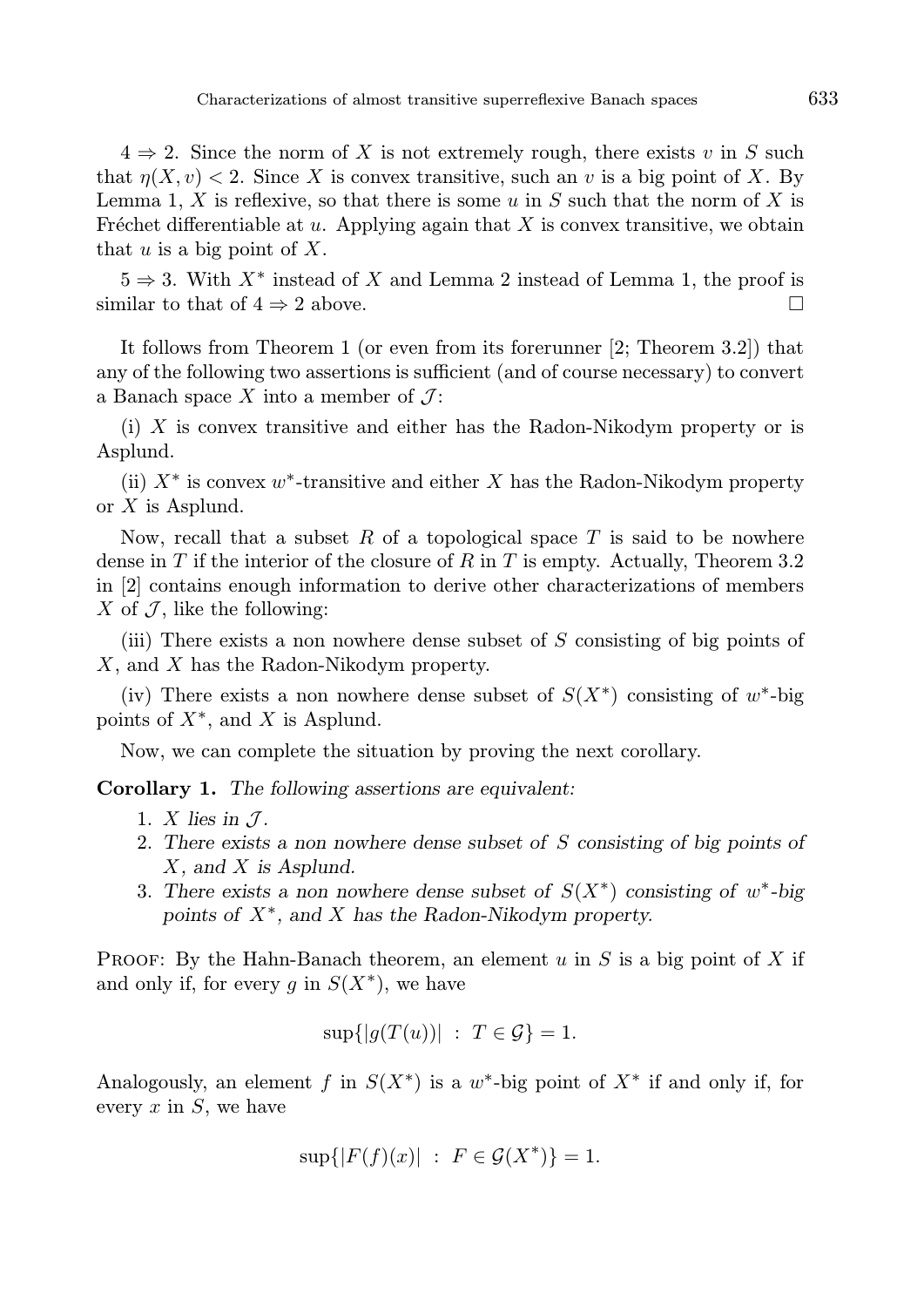$4 \Rightarrow 2$ . Since the norm of X is not extremely rough, there exists v in S such that  $n(X, v) < 2$ . Since X is convex transitive, such an v is a big point of X. By Lemma 1, X is reflexive, so that there is some u in S such that the norm of X is Fréchet differentiable at  $u$ . Applying again that X is convex transitive, we obtain that  $u$  is a big point of  $X$ .

 $5 \Rightarrow 3$ . With  $X^*$  instead of X and Lemma 2 instead of Lemma 1, the proof is similar to that of  $4 \Rightarrow 2$  above.

It follows from Theorem 1 (or even from its forerunner [2; Theorem 3.2]) that any of the following two assertions is sufficient (and of course necessary) to convert a Banach space X into a member of  $\mathcal{J}$ :

(i) X is convex transitive and either has the Radon-Nikodym property or is Asplund.

(ii)  $X^*$  is convex w<sup>\*</sup>-transitive and either X has the Radon-Nikodym property or X is Asplund.

Now, recall that a subset  $R$  of a topological space  $T$  is said to be nowhere dense in T if the interior of the closure of R in T is empty. Actually, Theorem 3.2 in [2] contains enough information to derive other characterizations of members X of  $\mathcal{J}$ , like the following:

(iii) There exists a non nowhere dense subset of S consisting of big points of X, and X has the Radon-Nikodym property.

(iv) There exists a non nowhere dense subset of  $S(X^*)$  consisting of w<sup>\*</sup>-big points of  $X^*$ , and X is Asplund.

Now, we can complete the situation by proving the next corollary.

Corollary 1. The following assertions are equivalent:

- 1. X lies in  $\mathcal{J}$ .
- 2. There exists a non nowhere dense subset of S consisting of big points of X, and X is Asplund.
- 3. There exists a non nowhere dense subset of  $S(X^*)$  consisting of w<sup>\*</sup>-big points of  $X^*$ , and  $X$  has the Radon-Nikodym property.

**PROOF:** By the Hahn-Banach theorem, an element u in S is a big point of X if and only if, for every g in  $S(X^*)$ , we have

$$
\sup\{|g(T(u))| : T \in \mathcal{G}\} = 1.
$$

Analogously, an element f in  $S(X^*)$  is a w<sup>\*</sup>-big point of  $X^*$  if and only if, for every  $x$  in  $S$ , we have

$$
\sup\{|F(f)(x)| : F \in \mathcal{G}(X^*)\} = 1.
$$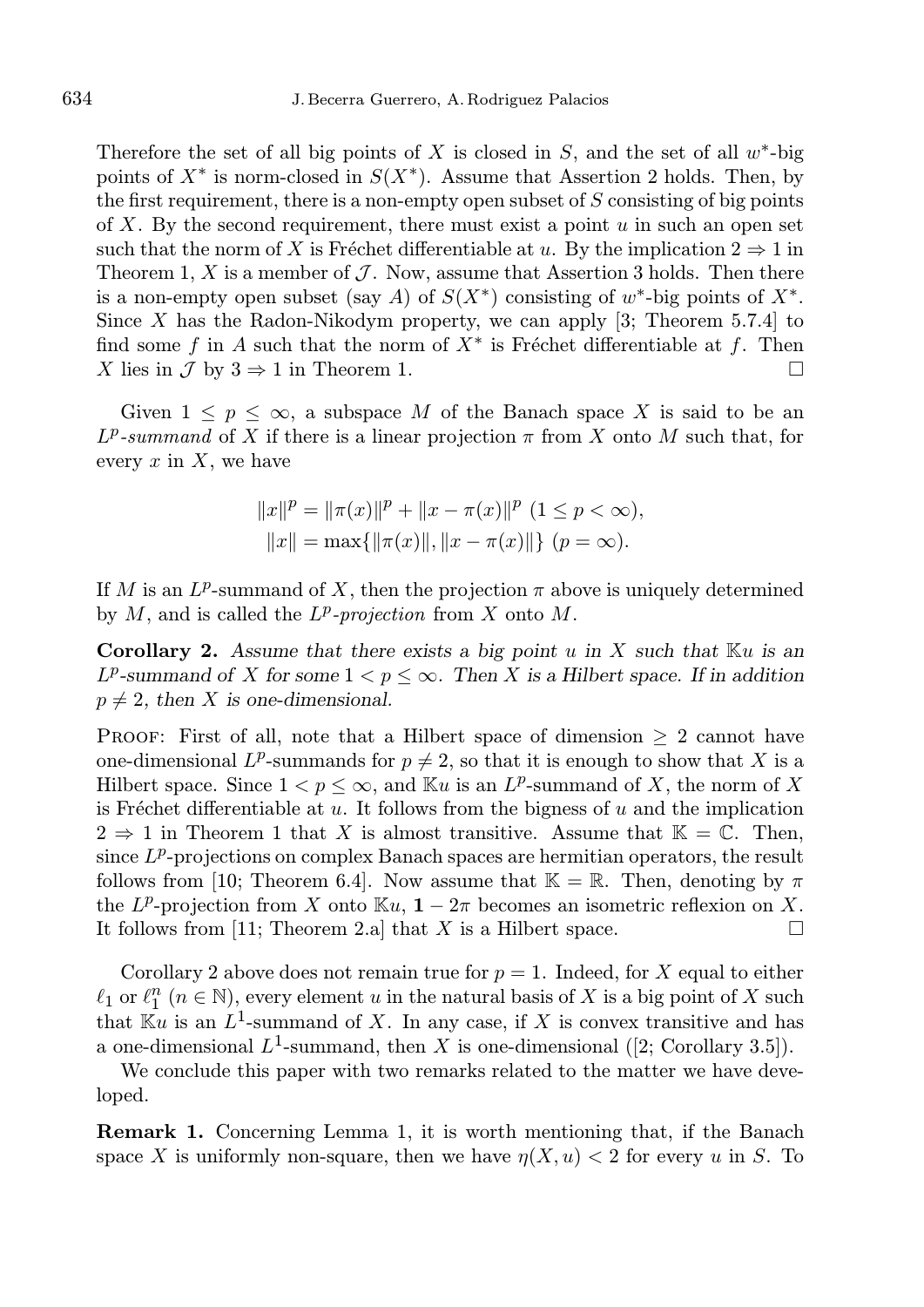Therefore the set of all big points of  $X$  is closed in  $S$ , and the set of all  $w^*$ -big points of  $X^*$  is norm-closed in  $S(X^*)$ . Assume that Assertion 2 holds. Then, by the first requirement, there is a non-empty open subset of  $S$  consisting of big points of X. By the second requirement, there must exist a point  $u$  in such an open set such that the norm of X is Fréchet differentiable at u. By the implication  $2 \Rightarrow 1$  in Theorem 1, X is a member of  $\mathcal J$ . Now, assume that Assertion 3 holds. Then there is a non-empty open subset (say A) of  $S(X^*)$  consisting of  $w^*$ -big points of  $X^*$ . Since X has the Radon-Nikodym property, we can apply  $[3;$  Theorem 5.7.4 to find some f in A such that the norm of  $X^*$  is Fréchet differentiable at f. Then X lies in  $\mathcal J$  by  $3 \Rightarrow 1$  in Theorem 1.

Given  $1 \leq p \leq \infty$ , a subspace M of the Banach space X is said to be an  $L^p$ -summand of X if there is a linear projection  $\pi$  from X onto M such that, for every  $x$  in  $X$ , we have

$$
||x||^{p} = ||\pi(x)||^{p} + ||x - \pi(x)||^{p} (1 \le p < \infty),
$$
  
\n
$$
||x|| = \max{||\pi(x)||, ||x - \pi(x)||} (p = \infty).
$$

If M is an  $L^p$ -summand of X, then the projection  $\pi$  above is uniquely determined by  $M$ , and is called the  $L^p$ -projection from  $X$  onto  $M$ .

**Corollary 2.** Assume that there exists a big point u in X such that  $\mathbb{K}u$  is an  $L^p$ -summand of X for some  $1 < p \leq \infty$ . Then X is a Hilbert space. If in addition  $p \neq 2$ , then X is one-dimensional.

**PROOF:** First of all, note that a Hilbert space of dimension  $\geq 2$  cannot have one-dimensional L<sup>p</sup>-summands for  $p \neq 2$ , so that it is enough to show that X is a Hilbert space. Since  $1 < p \leq \infty$ , and  $\mathbb{K}u$  is an  $L^p$ -summand of X, the norm of X is Fréchet differentiable at  $u$ . It follows from the bigness of  $u$  and the implication  $2 \Rightarrow 1$  in Theorem 1 that X is almost transitive. Assume that  $\mathbb{K} = \mathbb{C}$ . Then, since  $L^p$ -projections on complex Banach spaces are hermitian operators, the result follows from [10; Theorem 6.4]. Now assume that  $\mathbb{K} = \mathbb{R}$ . Then, denoting by  $\pi$ the  $L^p$ -projection from X onto  $\mathbb{K}u$ ,  $1-2\pi$  becomes an isometric reflexion on X. It follows from [11; Theorem 2.a] that X is a Hilbert space.  $\square$ 

Corollary 2 above does not remain true for  $p = 1$ . Indeed, for X equal to either  $\ell_1$  or  $\ell_1^n$   $(n \in \mathbb{N})$ , every element u in the natural basis of X is a big point of X such that  $\mathbb{K}_u$  is an  $L^1$ -summand of X. In any case, if X is convex transitive and has a one-dimensional  $L^1$ -summand, then X is one-dimensional ([2; Corollary 3.5]).

We conclude this paper with two remarks related to the matter we have developed.

Remark 1. Concerning Lemma 1, it is worth mentioning that, if the Banach space X is uniformly non-square, then we have  $\eta(X, u) < 2$  for every u in S. To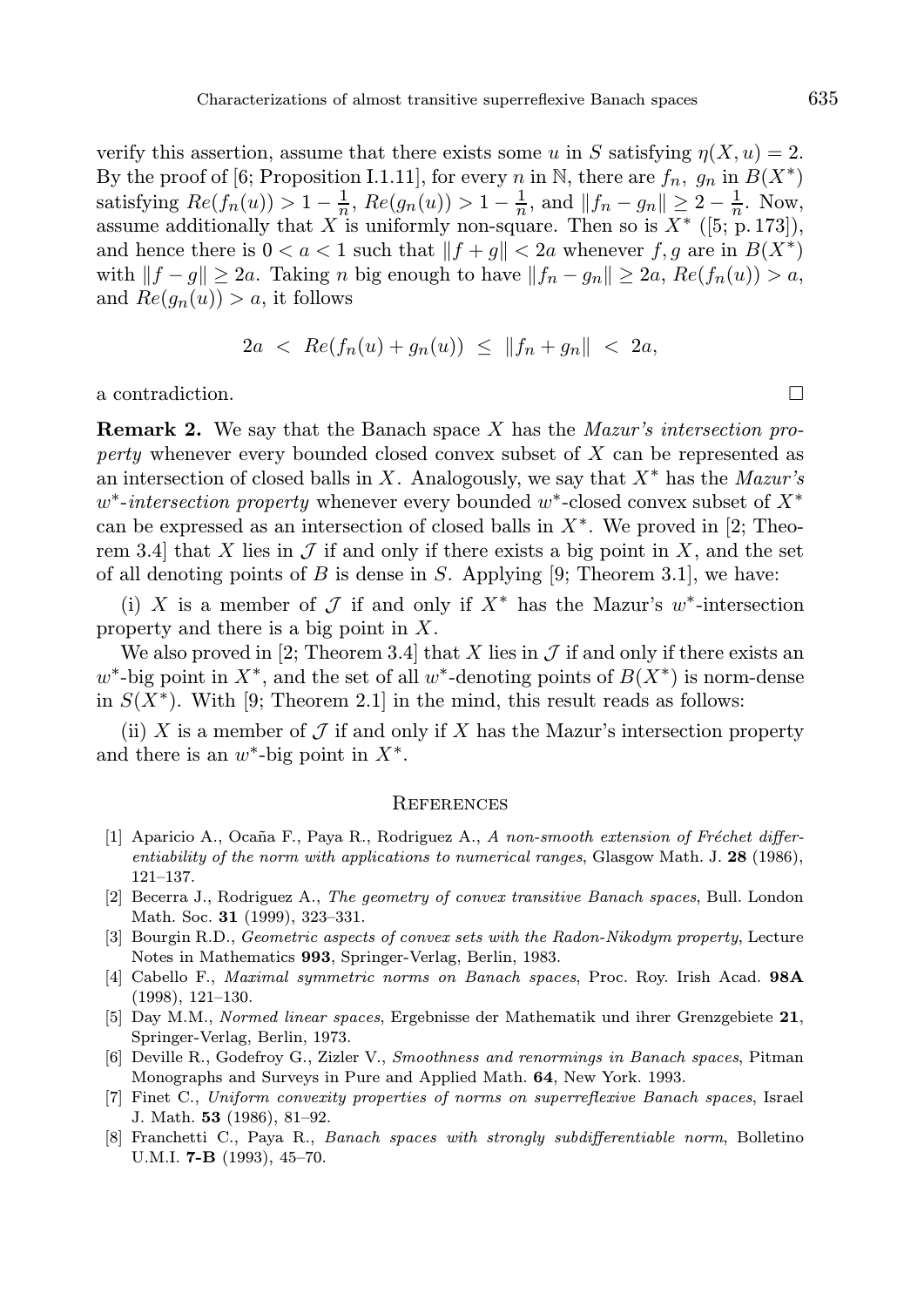verify this assertion, assume that there exists some u in S satisfying  $n(X, u) = 2$ . By the proof of [6; Proposition I.1.11], for every n in N, there are  $f_n$ ,  $g_n$  in  $B(X^*)$ satisfying  $Re(f_n(u)) > 1 - \frac{1}{n}$ ,  $Re(g_n(u)) > 1 - \frac{1}{n}$ , and  $||f_n - g_n|| \ge 2 - \frac{1}{n}$ . Now, assume additionally that X is uniformly non-square. Then so is  $X^*$  ([5; p. 173]), and hence there is  $0 < a < 1$  such that  $||f + g|| < 2a$  whenever  $f, g$  are in  $B(X^*)$ with  $||f - g|| \ge 2a$ . Taking n big enough to have  $||f_n - g_n|| \ge 2a$ ,  $Re(f_n(u)) > a$ , and  $Re(g_n(u)) > a$ , it follows

$$
2a \ < \ Re(f_n(u) + g_n(u)) \ \leq \ \|f_n + g_n\| \ < \ 2a,
$$

a contradiction.

**Remark 2.** We say that the Banach space X has the *Mazur's intersection pro*perty whenever every bounded closed convex subset of X can be represented as an intersection of closed balls in X. Analogously, we say that  $X^*$  has the Mazur's  $w^*$ -intersection property whenever every bounded  $w^*$ -closed convex subset of  $X^*$ can be expressed as an intersection of closed balls in  $X^*$ . We proved in [2; Theorem 3.4] that X lies in  $\mathcal J$  if and only if there exists a big point in X, and the set of all denoting points of  $B$  is dense in  $S$ . Applying [9; Theorem 3.1], we have:

(i) X is a member of  $\mathcal J$  if and only if  $X^*$  has the Mazur's w<sup>\*</sup>-intersection property and there is a big point in X.

We also proved in [2; Theorem 3.4] that X lies in  $\mathcal J$  if and only if there exists an  $w^*$ -big point in  $X^*$ , and the set of all  $w^*$ -denoting points of  $B(X^*)$  is norm-dense in  $S(X^*)$ . With [9; Theorem 2.1] in the mind, this result reads as follows:

(ii) X is a member of  $\mathcal J$  if and only if X has the Mazur's intersection property and there is an  $w^*$ -big point in  $X^*$ .

## **REFERENCES**

- [1] Aparicio A., Ocaña F., Paya R., Rodriguez A., A non-smooth extension of Fréchet differentiability of the norm with applications to numerical ranges, Glasgow Math. J. 28 (1986), 121–137.
- [2] Becerra J., Rodriguez A., The geometry of convex transitive Banach spaces, Bull. London Math. Soc. 31 (1999), 323–331.
- [3] Bourgin R.D., *Geometric aspects of convex sets with the Radon-Nikodym property*, Lecture Notes in Mathematics 993, Springer-Verlag, Berlin, 1983.
- [4] Cabello F., Maximal symmetric norms on Banach spaces, Proc. Roy. Irish Acad. 98A (1998), 121–130.
- [5] Day M.M., Normed linear spaces, Ergebnisse der Mathematik und ihrer Grenzgebiete 21, Springer-Verlag, Berlin, 1973.
- [6] Deville R., Godefroy G., Zizler V., Smoothness and renormings in Banach spaces, Pitman Monographs and Surveys in Pure and Applied Math. 64, New York. 1993.
- [7] Finet C., Uniform convexity properties of norms on superreflexive Banach spaces, Israel J. Math. 53 (1986), 81–92.
- [8] Franchetti C., Paya R., Banach spaces with strongly subdifferentiable norm, Bolletino U.M.I. **7-B** (1993), 45-70.